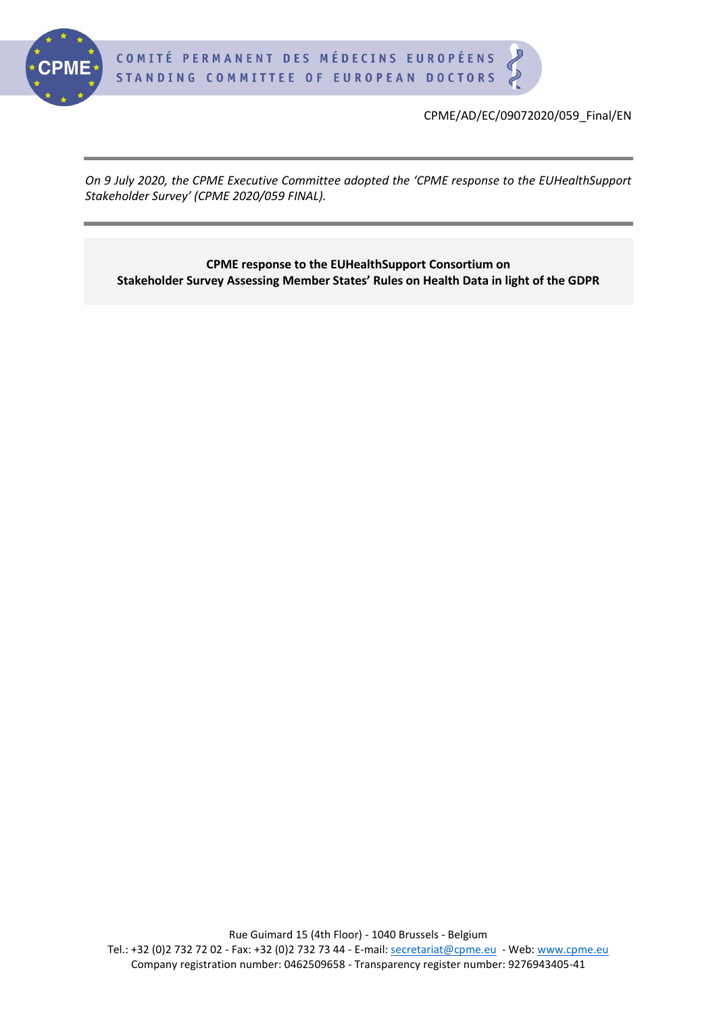

CPME/AD/EC/09072020/059\_Final/EN

*On 9 July 2020, the CPME Executive Committee adopted the 'CPME response to the EUHealthSupport Stakeholder Survey' (CPME 2020/059 FINAL).*

**CPME response to the EUHealthSupport Consortium on Stakeholder Survey Assessing Member States' Rules on Health Data in light of the GDPR**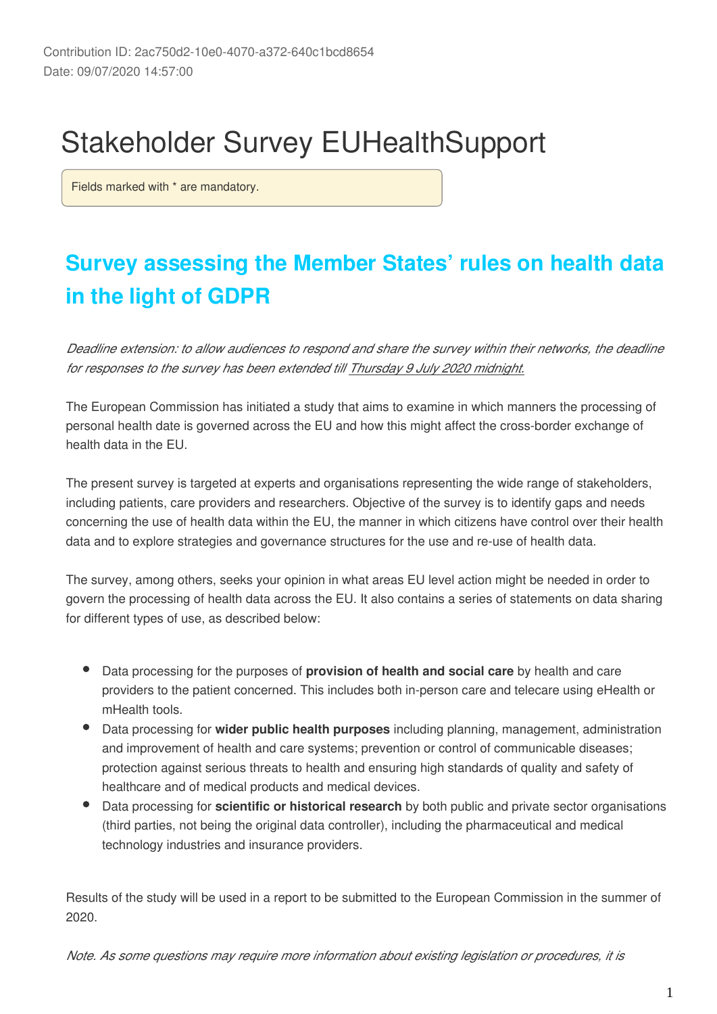# Stakeholder Survey EUHealthSupport

Fields marked with \* are mandatory.

## **Survey assessing the Member States' rules on health data in the light of GDPR**

*Deadline extension: to allow audiences to respond and share the survey within their networks, the deadline for responses to the survey has been extended till Thursday 9 July 2020 midnight.*

The European Commission has initiated a study that aims to examine in which manners the processing of personal health date is governed across the EU and how this might affect the cross-border exchange of health data in the EU.

The present survey is targeted at experts and organisations representing the wide range of stakeholders, including patients, care providers and researchers. Objective of the survey is to identify gaps and needs concerning the use of health data within the EU, the manner in which citizens have control over their health data and to explore strategies and governance structures for the use and re-use of health data.

The survey, among others, seeks your opinion in what areas EU level action might be needed in order to govern the processing of health data across the EU. It also contains a series of statements on data sharing for different types of use, as described below:

- Data processing for the purposes of **provision of health and social care** by health and care providers to the patient concerned. This includes both in-person care and telecare using eHealth or mHealth tools.
- Data processing for **wider public health purposes** including planning, management, administration and improvement of health and care systems; prevention or control of communicable diseases; protection against serious threats to health and ensuring high standards of quality and safety of healthcare and of medical products and medical devices.
- Data processing for **scientific or historical research** by both public and private sector organisations (third parties, not being the original data controller), including the pharmaceutical and medical technology industries and insurance providers.

Results of the study will be used in a report to be submitted to the European Commission in the summer of 2020.

*Note. As some questions may require more information about existing legislation or procedures, it is*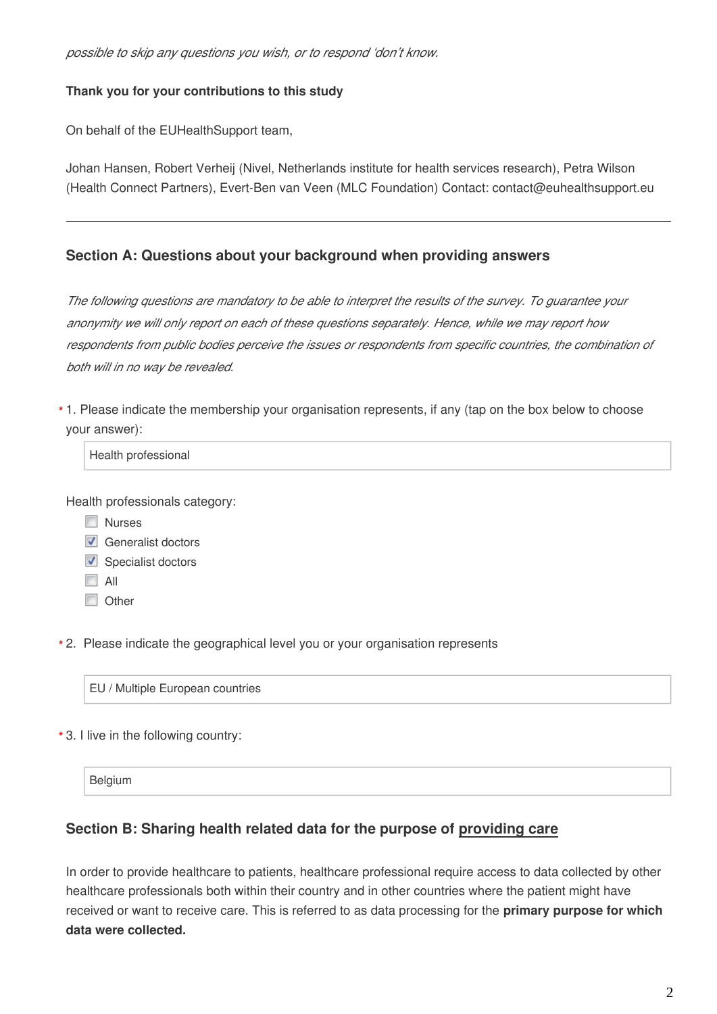#### **Thank you for your contributions to this study**

On behalf of the EUHealthSupport team,

Johan Hansen, Robert Verheij (Nivel, Netherlands institute for health services research), Petra Wilson (Health Connect Partners), Evert-Ben van Veen (MLC Foundation) Contact: contact@euhealthsupport.eu

#### **Section A: Questions about your background when providing answers**

*The following questions are mandatory to be able to interpret the results of the survey. To guarantee your anonymity we will only report on each of these questions separately. Hence, while we may report how*  respondents from public bodies perceive the issues or respondents from specific countries, the combination of *both will in no way be revealed.*

1. Please indicate the membership your organisation represents, if any (tap on the box below to choose **\*** your answer):

Health professional

Health professionals category:

- **Nurses**
- Generalist doctors
- Specialist doctors
- $\Box$  All
- **Other**

2. Please indicate the geographical level you or your organisation represents **\***

EU / Multiple European countries

3. I live in the following country: **\***

Belgium

#### **Section B: Sharing health related data for the purpose of providing care**

In order to provide healthcare to patients, healthcare professional require access to data collected by other healthcare professionals both within their country and in other countries where the patient might have received or want to receive care. This is referred to as data processing for the **primary purpose for which data were collected.**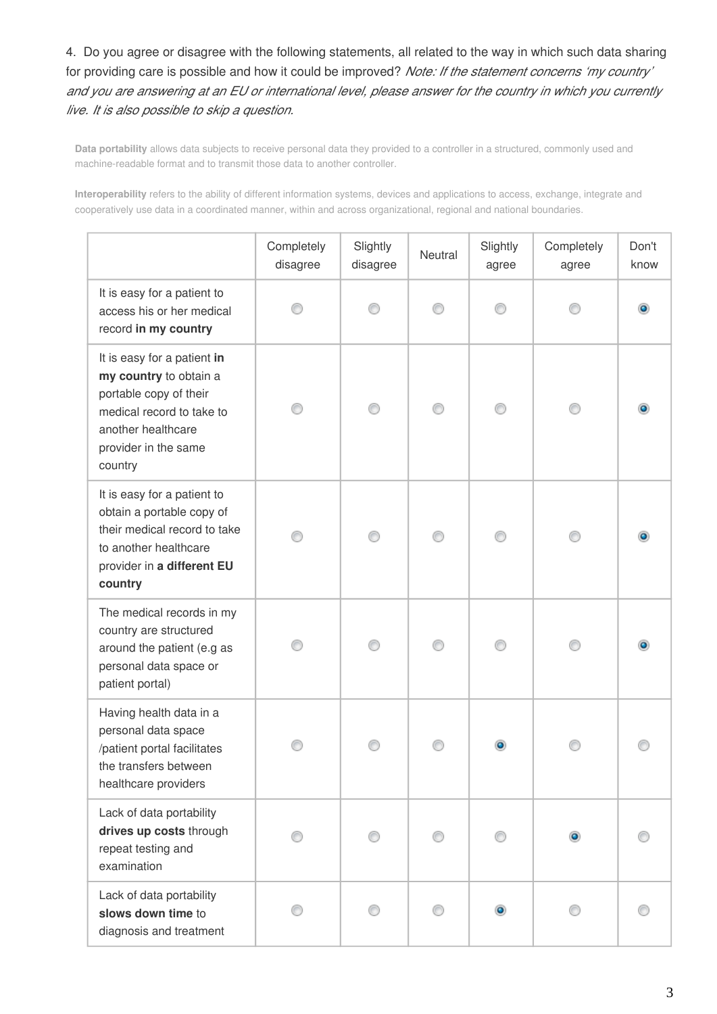4. Do you agree or disagree with the following statements, all related to the way in which such data sharing for providing care is possible and how it could be improved? *Note: If the statement concerns 'my country' and you are answering at an EU or international level, please answer for the country in which you currently live. It is also possible to skip a question.*

**Data portability** allows data subjects to receive personal data they provided to a controller in a structured, commonly used and machine-readable format and to transmit those data to another controller.

**Interoperability** refers to the ability of different information systems, devices and applications to access, exchange, integrate and cooperatively use data in a coordinated manner, within and across organizational, regional and national boundaries.

|                                                                                                                                                                       | Completely<br>disagree | Slightly<br>disagree | Neutral | Slightly<br>agree | Completely<br>agree | Don't<br>know |
|-----------------------------------------------------------------------------------------------------------------------------------------------------------------------|------------------------|----------------------|---------|-------------------|---------------------|---------------|
| It is easy for a patient to<br>access his or her medical<br>record in my country                                                                                      |                        |                      |         |                   |                     |               |
| It is easy for a patient in<br>my country to obtain a<br>portable copy of their<br>medical record to take to<br>another healthcare<br>provider in the same<br>country |                        |                      |         |                   |                     |               |
| It is easy for a patient to<br>obtain a portable copy of<br>their medical record to take<br>to another healthcare<br>provider in a different EU<br>country            |                        |                      |         |                   |                     |               |
| The medical records in my<br>country are structured<br>around the patient (e.g as<br>personal data space or<br>patient portal)                                        |                        |                      |         |                   |                     |               |
| Having health data in a<br>personal data space<br>/patient portal facilitates<br>the transfers between<br>healthcare providers                                        |                        |                      |         |                   |                     |               |
| Lack of data portability<br>drives up costs through<br>repeat testing and<br>examination                                                                              |                        |                      |         |                   | $\bullet$           |               |
| Lack of data portability<br>slows down time to<br>diagnosis and treatment                                                                                             |                        |                      |         | $\bullet$         |                     |               |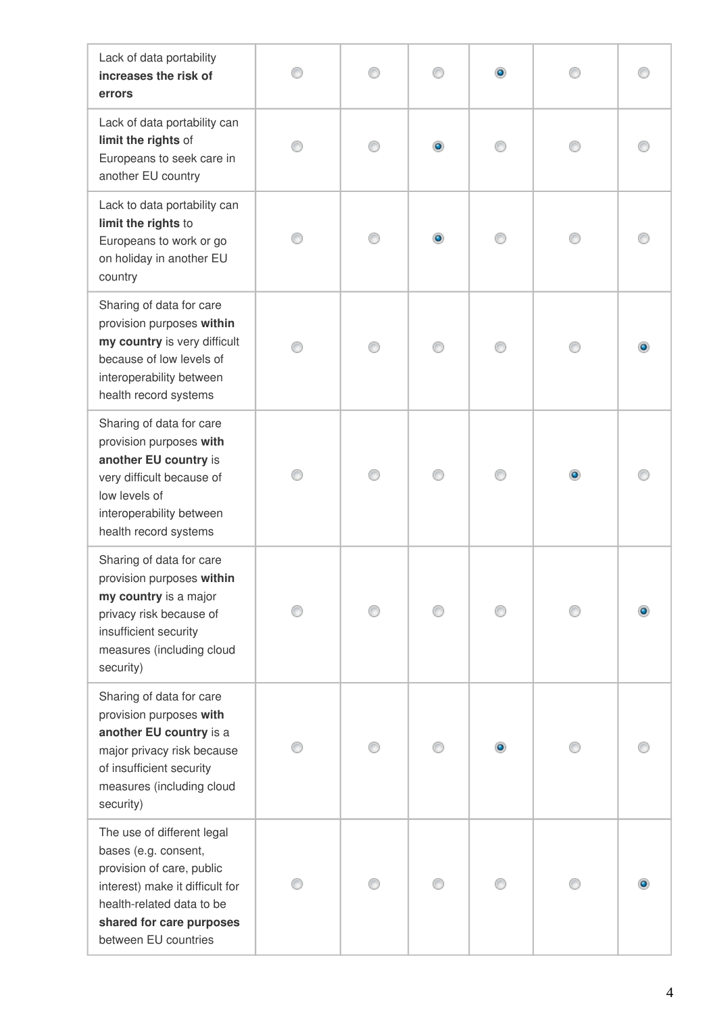| Lack of data portability<br>increases the risk of<br>errors                                                                                                                                         |  |  |  |
|-----------------------------------------------------------------------------------------------------------------------------------------------------------------------------------------------------|--|--|--|
| Lack of data portability can<br>limit the rights of<br>Europeans to seek care in<br>another EU country                                                                                              |  |  |  |
| Lack to data portability can<br>limit the rights to<br>Europeans to work or go<br>on holiday in another EU<br>country                                                                               |  |  |  |
| Sharing of data for care<br>provision purposes within<br>my country is very difficult<br>because of low levels of<br>interoperability between<br>health record systems                              |  |  |  |
| Sharing of data for care<br>provision purposes with<br>another EU country is<br>very difficult because of<br>low levels of<br>interoperability between<br>health record systems                     |  |  |  |
| Sharing of data for care<br>provision purposes within<br>my country is a major<br>privacy risk because of<br>insufficient security<br>measures (including cloud<br>security)                        |  |  |  |
| Sharing of data for care<br>provision purposes with<br>another EU country is a<br>major privacy risk because<br>of insufficient security<br>measures (including cloud<br>security)                  |  |  |  |
| The use of different legal<br>bases (e.g. consent,<br>provision of care, public<br>interest) make it difficult for<br>health-related data to be<br>shared for care purposes<br>between EU countries |  |  |  |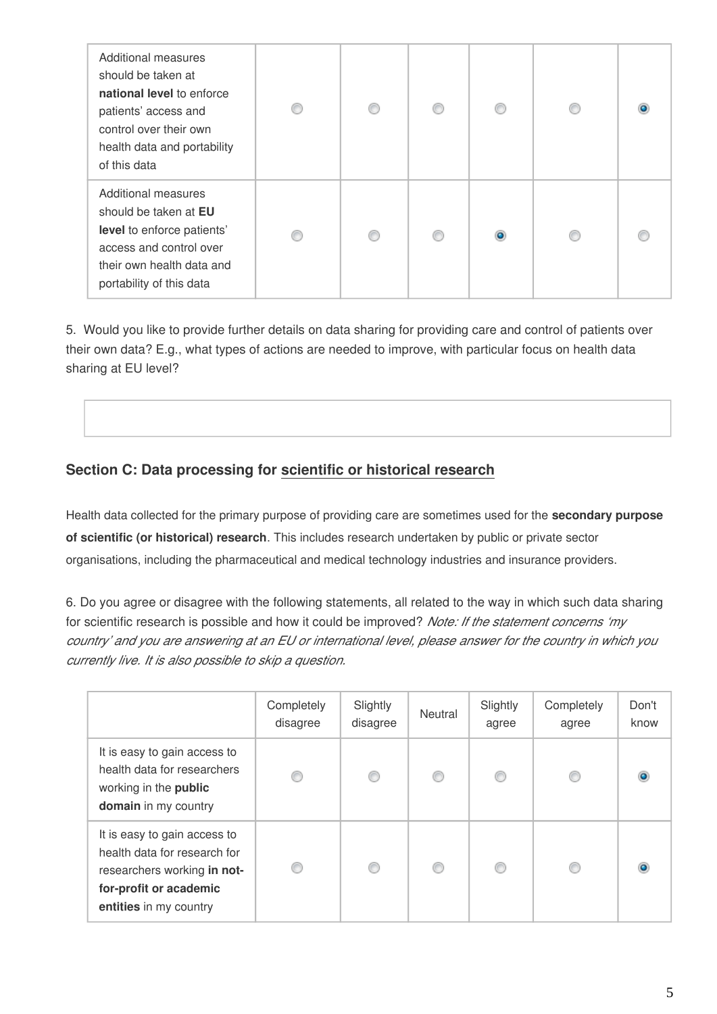| Additional measures<br>should be taken at<br>national level to enforce<br>patients' access and<br>control over their own<br>health data and portability<br>of this data | € | ⋒ | €         |  |
|-------------------------------------------------------------------------------------------------------------------------------------------------------------------------|---|---|-----------|--|
| Additional measures<br>should be taken at EU<br>level to enforce patients'<br>access and control over<br>their own health data and<br>portability of this data          |   | ⋒ | $\bullet$ |  |

5. Would you like to provide further details on data sharing for providing care and control of patients over their own data? E.g., what types of actions are needed to improve, with particular focus on health data sharing at EU level?

## **Section C: Data processing for scientific or historical research**

Health data collected for the primary purpose of providing care are sometimes used for the **secondary purpose of scientific (or historical) research**. This includes research undertaken by public or private sector organisations, including the pharmaceutical and medical technology industries and insurance providers.

6. Do you agree or disagree with the following statements, all related to the way in which such data sharing for scientific research is possible and how it could be improved? *Note: If the statement concerns 'my country' and you are answering at an EU or international level, please answer for the country in which you currently live. It is also possible to skip a question.*

|                                                                                                                                                 | Completely<br>disagree | Slightly<br>disagree | <b>Neutral</b> | Slightly<br>agree | Completely<br>agree | Don't<br>know |
|-------------------------------------------------------------------------------------------------------------------------------------------------|------------------------|----------------------|----------------|-------------------|---------------------|---------------|
| It is easy to gain access to<br>health data for researchers<br>working in the public<br>domain in my country                                    |                        | ⋒                    | €              |                   | €                   |               |
| It is easy to gain access to<br>health data for research for<br>researchers working in not-<br>for-profit or academic<br>entities in my country |                        |                      | C              |                   | €                   |               |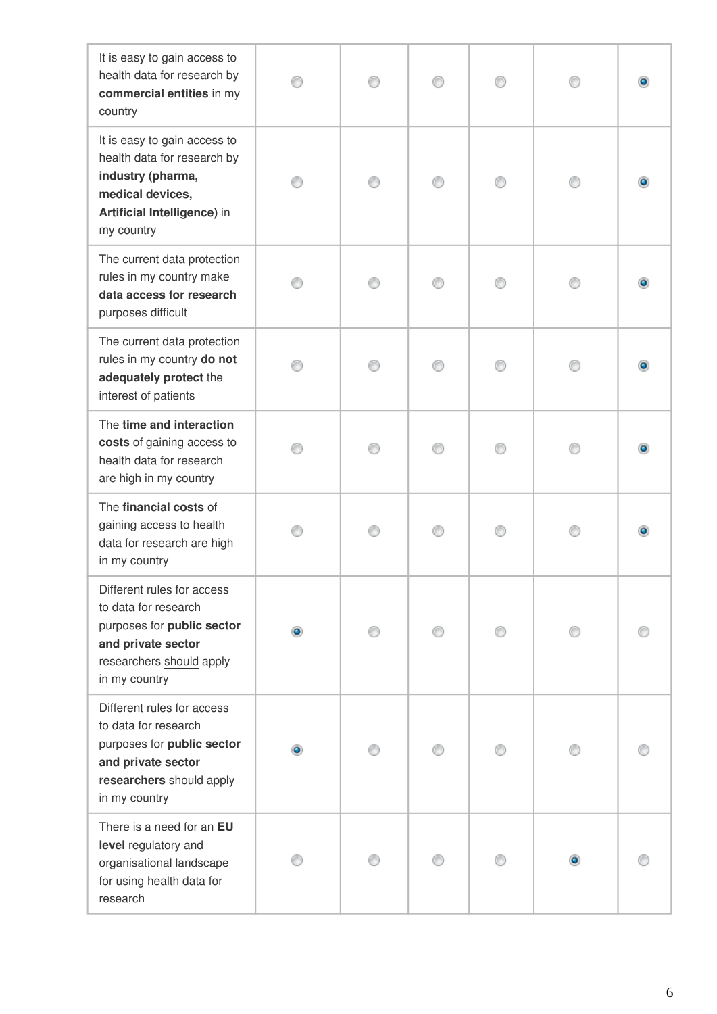| It is easy to gain access to<br>health data for research by<br>commercial entities in my<br>country                                                 |  |  |  |
|-----------------------------------------------------------------------------------------------------------------------------------------------------|--|--|--|
| It is easy to gain access to<br>health data for research by<br>industry (pharma,<br>medical devices,<br>Artificial Intelligence) in<br>my country   |  |  |  |
| The current data protection<br>rules in my country make<br>data access for research<br>purposes difficult                                           |  |  |  |
| The current data protection<br>rules in my country do not<br>adequately protect the<br>interest of patients                                         |  |  |  |
| The time and interaction<br>costs of gaining access to<br>health data for research<br>are high in my country                                        |  |  |  |
| The financial costs of<br>gaining access to health<br>data for research are high<br>in my country                                                   |  |  |  |
| Different rules for access<br>to data for research<br>purposes for public sector<br>and private sector<br>researchers should apply<br>in my country |  |  |  |
| Different rules for access<br>to data for research<br>purposes for public sector<br>and private sector<br>researchers should apply<br>in my country |  |  |  |
| There is a need for an EU<br>level regulatory and<br>organisational landscape<br>for using health data for<br>research                              |  |  |  |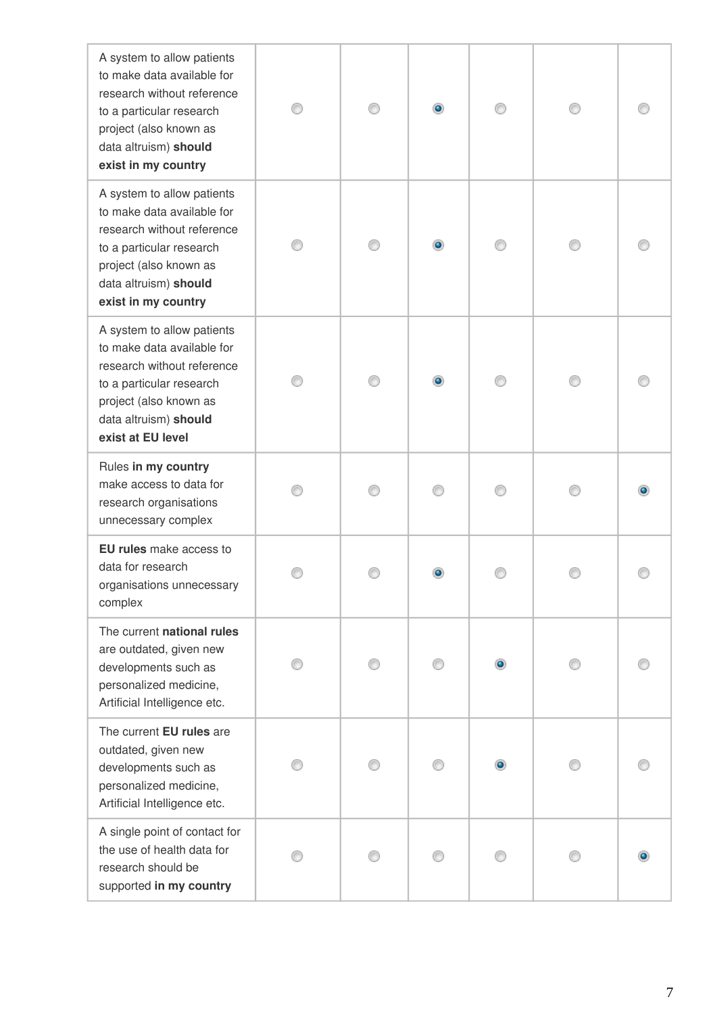| A system to allow patients<br>to make data available for<br>research without reference<br>to a particular research<br>project (also known as<br>data altruism) should<br>exist in my country |  |           |  |
|----------------------------------------------------------------------------------------------------------------------------------------------------------------------------------------------|--|-----------|--|
| A system to allow patients<br>to make data available for<br>research without reference<br>to a particular research<br>project (also known as<br>data altruism) should<br>exist in my country |  |           |  |
| A system to allow patients<br>to make data available for<br>research without reference<br>to a particular research<br>project (also known as<br>data altruism) should<br>exist at EU level   |  |           |  |
| Rules in my country<br>make access to data for<br>research organisations<br>unnecessary complex                                                                                              |  |           |  |
| EU rules make access to<br>data for research<br>organisations unnecessary<br>complex                                                                                                         |  |           |  |
| The current national rules<br>are outdated, given new<br>developments such as<br>personalized medicine,<br>Artificial Intelligence etc.                                                      |  | $\bullet$ |  |
| The current EU rules are<br>outdated, given new<br>developments such as<br>personalized medicine,<br>Artificial Intelligence etc.                                                            |  |           |  |
| A single point of contact for<br>the use of health data for<br>research should be<br>supported in my country                                                                                 |  |           |  |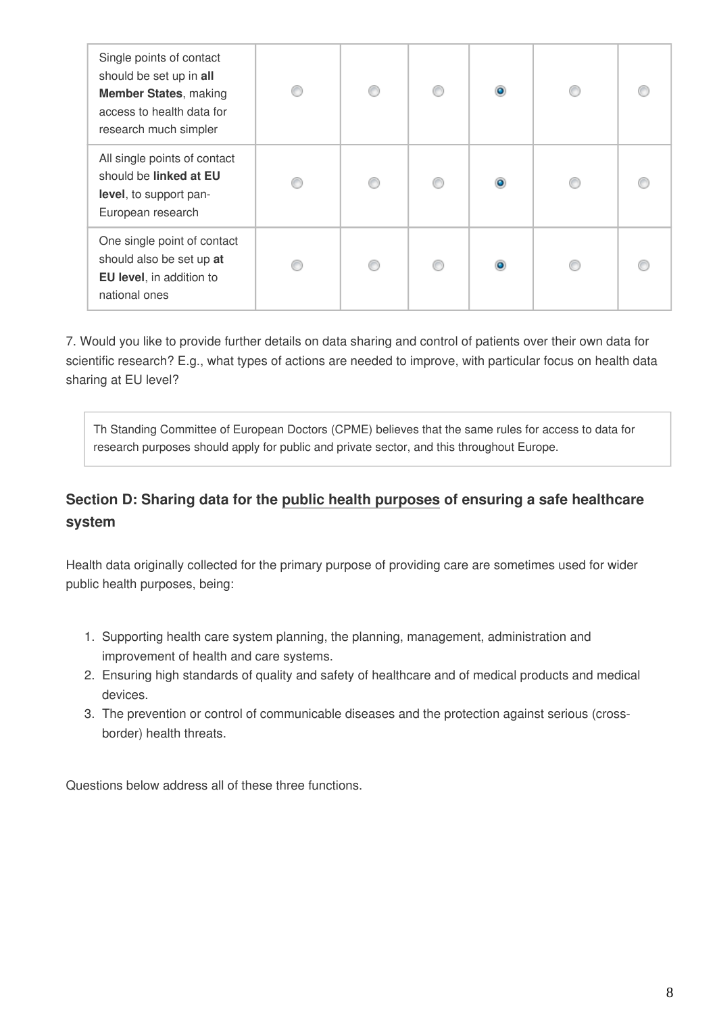| Single points of contact<br>should be set up in all<br><b>Member States, making</b><br>access to health data for<br>research much simpler | € | ⋒ | $\bullet$ |  |
|-------------------------------------------------------------------------------------------------------------------------------------------|---|---|-----------|--|
| All single points of contact<br>should be linked at EU<br>level, to support pan-<br>European research                                     | ⋒ | ⋒ | $\bullet$ |  |
| One single point of contact<br>should also be set up at<br>EU level, in addition to<br>national ones                                      |   | ⋒ | $\bullet$ |  |

7. Would you like to provide further details on data sharing and control of patients over their own data for scientific research? E.g., what types of actions are needed to improve, with particular focus on health data sharing at EU level?

Th Standing Committee of European Doctors (CPME) believes that the same rules for access to data for research purposes should apply for public and private sector, and this throughout Europe.

## **Section D: Sharing data for the public health purposes of ensuring a safe healthcare system**

Health data originally collected for the primary purpose of providing care are sometimes used for wider public health purposes, being:

- 1. Supporting health care system planning, the planning, management, administration and improvement of health and care systems.
- 2. Ensuring high standards of quality and safety of healthcare and of medical products and medical devices.
- 3. The prevention or control of communicable diseases and the protection against serious (crossborder) health threats.

Questions below address all of these three functions.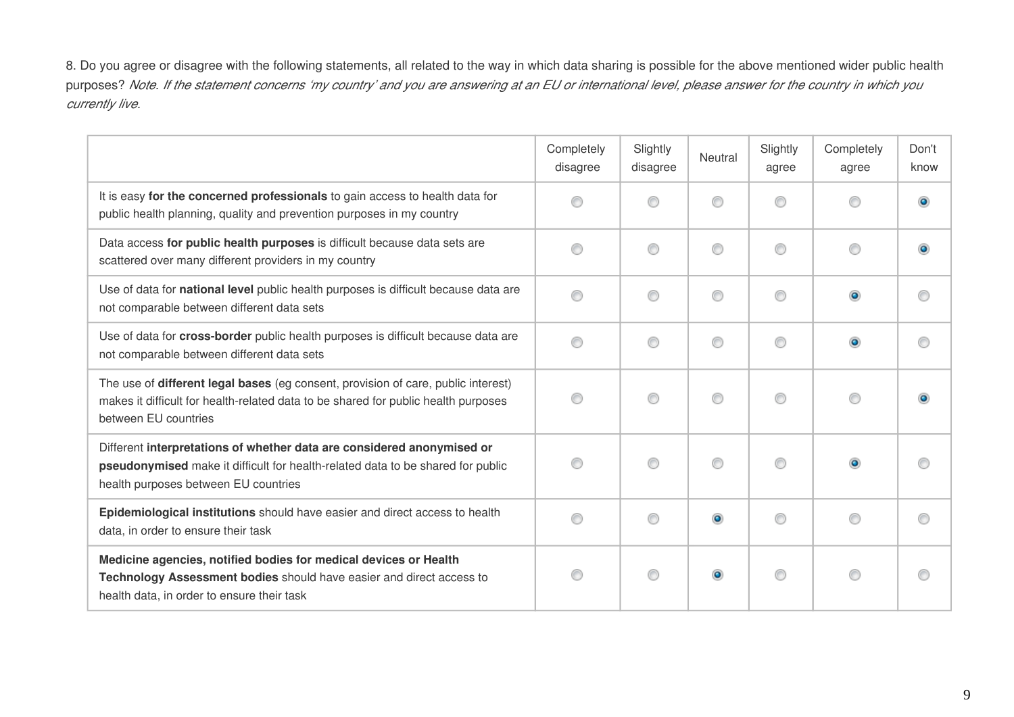8. Do you agree or disagree with the following statements, all related to the way in which data sharing is possible for the above mentioned wider public health purposes? *Note. If the statement concerns 'my country' and you are answering at an EU or international level, please answer for the country in which you currently live.*

|                                                                                                                                                                                                   | Completely<br>disagree | Slightly<br>disagree | Neutral   | Slightly<br>agree | Completely<br>agree | Don't<br>know |
|---------------------------------------------------------------------------------------------------------------------------------------------------------------------------------------------------|------------------------|----------------------|-----------|-------------------|---------------------|---------------|
| It is easy for the concerned professionals to gain access to health data for<br>public health planning, quality and prevention purposes in my country                                             | ∩                      | ⋒                    | ⋒         | ∩                 | ⋒                   | ۰             |
| Data access for public health purposes is difficult because data sets are<br>scattered over many different providers in my country                                                                | ⊙                      | ⊙                    | ⊙         | ⊙                 | ◎                   |               |
| Use of data for national level public health purposes is difficult because data are<br>not comparable between different data sets                                                                 | ⊙                      | ⊙                    | ⊙         | ⊙                 | ۰                   |               |
| Use of data for cross-border public health purposes is difficult because data are<br>not comparable between different data sets                                                                   | ◉                      | ⊙                    | ◎         | ⊙                 | ۰                   |               |
| The use of different legal bases (eg consent, provision of care, public interest)<br>makes it difficult for health-related data to be shared for public health purposes<br>between EU countries   | O                      | ⊙                    | ◎         | 0                 | ⊙                   |               |
| Different interpretations of whether data are considered anonymised or<br>pseudonymised make it difficult for health-related data to be shared for public<br>health purposes between EU countries | 0                      | ⊙                    | ⊙         | ⊙                 | ۰                   |               |
| Epidemiological institutions should have easier and direct access to health<br>data, in order to ensure their task                                                                                | ◉                      | ∩                    | $\bullet$ | ⊙                 | ◉                   |               |
| Medicine agencies, notified bodies for medical devices or Health<br>Technology Assessment bodies should have easier and direct access to<br>health data, in order to ensure their task            | 0                      | ∩                    |           | ⊙                 | ◎                   |               |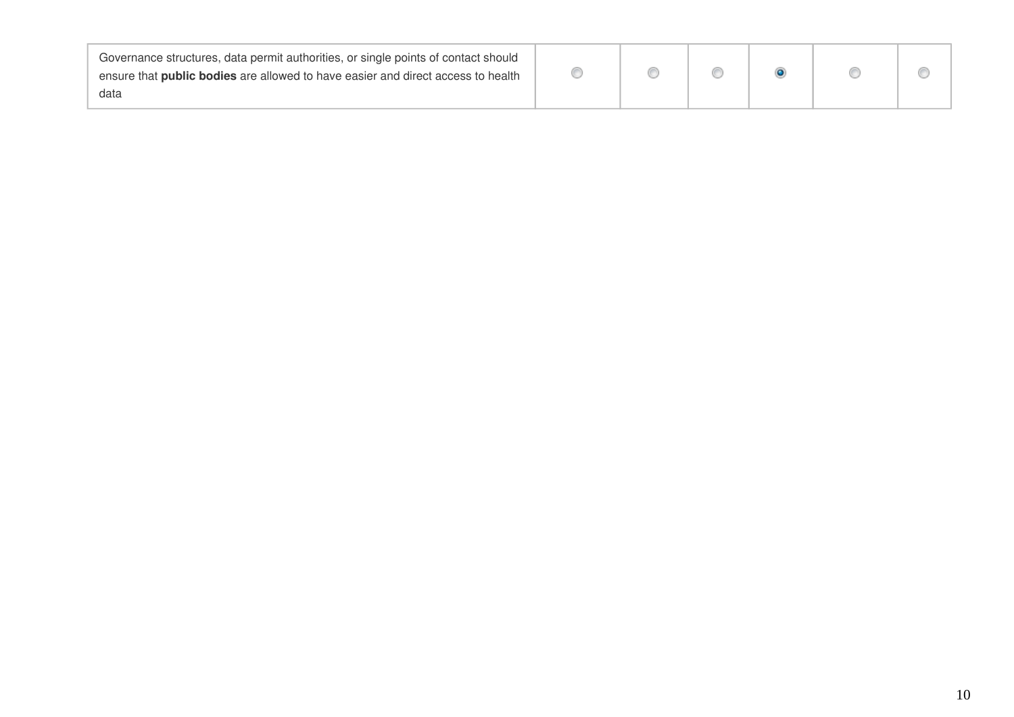| Governance structures, data permit authorities, or single points of contact should |  |  |  |
|------------------------------------------------------------------------------------|--|--|--|
| ensure that public bodies are allowed to have easier and direct access to health   |  |  |  |
| data                                                                               |  |  |  |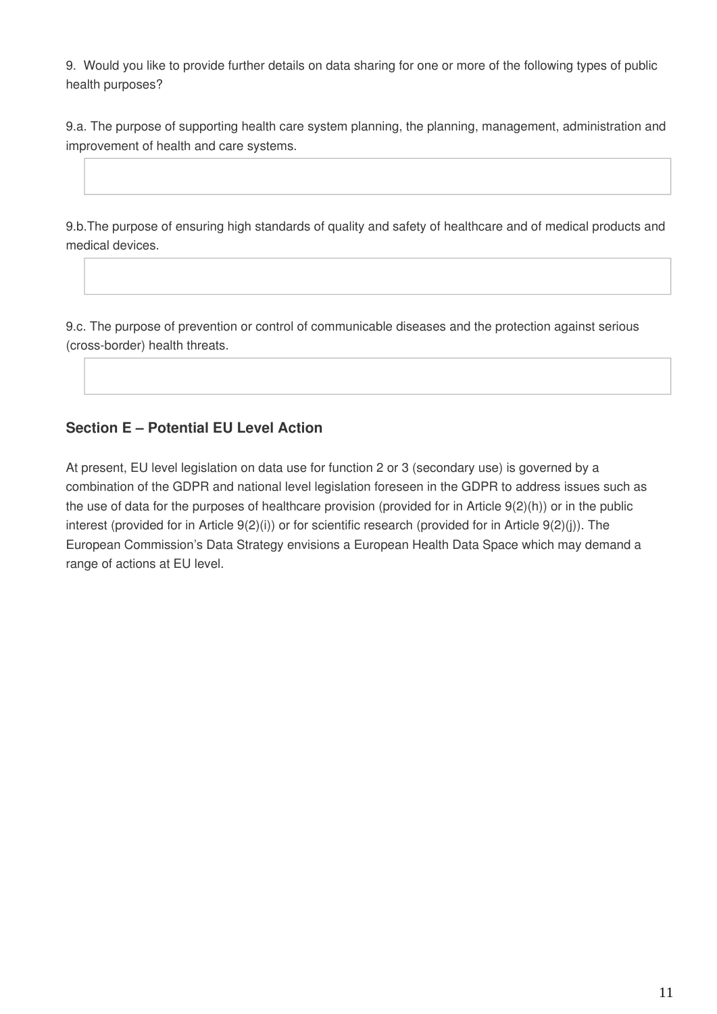9. Would you like to provide further details on data sharing for one or more of the following types of public health purposes?

9.a. The purpose of supporting health care system planning, the planning, management, administration and improvement of health and care systems.

9.b.The purpose of ensuring high standards of quality and safety of healthcare and of medical products and medical devices.

9.c. The purpose of prevention or control of communicable diseases and the protection against serious (cross-border) health threats.

## **Section E – Potential EU Level Action**

At present, EU level legislation on data use for function 2 or 3 (secondary use) is governed by a combination of the GDPR and national level legislation foreseen in the GDPR to address issues such as the use of data for the purposes of healthcare provision (provided for in Article 9(2)(h)) or in the public interest (provided for in Article 9(2)(i)) or for scientific research (provided for in Article 9(2)(j)). The European Commission's Data Strategy envisions a European Health Data Space which may demand a range of actions at EU level.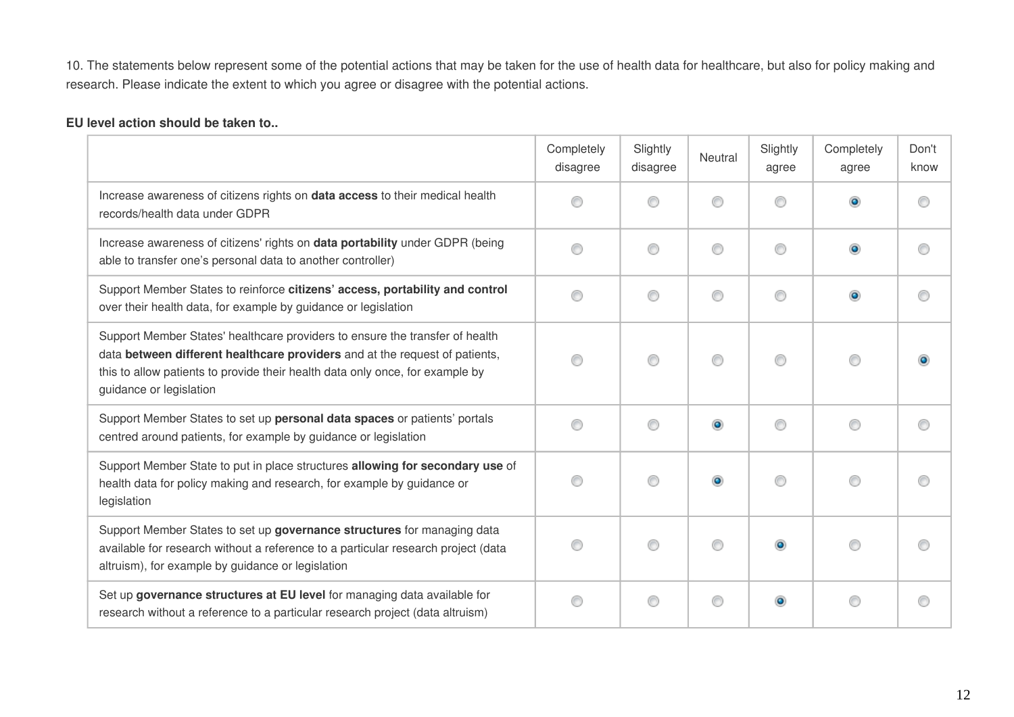10. The statements below represent some of the potential actions that may be taken for the use of health data for healthcare, but also for policy making and research. Please indicate the extent to which you agree or disagree with the potential actions.

#### **EU level action should be taken to..**

|                                                                                                                                                                                                                                                                         | Completely<br>disagree | Slightly<br>disagree | Neutral   | Slightly<br>agree | Completely<br>agree | Don't<br>know |
|-------------------------------------------------------------------------------------------------------------------------------------------------------------------------------------------------------------------------------------------------------------------------|------------------------|----------------------|-----------|-------------------|---------------------|---------------|
| Increase awareness of citizens rights on <b>data access</b> to their medical health<br>records/health data under GDPR                                                                                                                                                   | ◎                      |                      | ⋒         | ∩                 | ۵                   | ∩             |
| Increase awareness of citizens' rights on data portability under GDPR (being<br>able to transfer one's personal data to another controller)                                                                                                                             | ◎                      | ◎                    | ⊙         | ⊙                 | $\bullet$           | ∩             |
| Support Member States to reinforce citizens' access, portability and control<br>over their health data, for example by guidance or legislation                                                                                                                          | ◎                      | ◎                    | ⊙         | ◉                 | $\bullet$           |               |
| Support Member States' healthcare providers to ensure the transfer of health<br>data between different healthcare providers and at the request of patients,<br>this to allow patients to provide their health data only once, for example by<br>guidance or legislation | ◎                      | ⋒                    | ⊙         | ⊙                 | 0                   |               |
| Support Member States to set up personal data spaces or patients' portals<br>centred around patients, for example by guidance or legislation                                                                                                                            | ⋒                      | ⋒                    | $\bullet$ | ◉                 | 0                   | ⊙             |
| Support Member State to put in place structures allowing for secondary use of<br>health data for policy making and research, for example by guidance or<br>legislation                                                                                                  | ◎                      |                      | $\bullet$ | ◉                 | ◉                   |               |
| Support Member States to set up governance structures for managing data<br>available for research without a reference to a particular research project (data<br>altruism), for example by guidance or legislation                                                       | ◎                      |                      | ◎         | ۰                 | ◉                   |               |
| Set up governance structures at EU level for managing data available for<br>research without a reference to a particular research project (data altruism)                                                                                                               | ◉                      | ⋒                    | ◎         | $\bullet$         | ◉                   |               |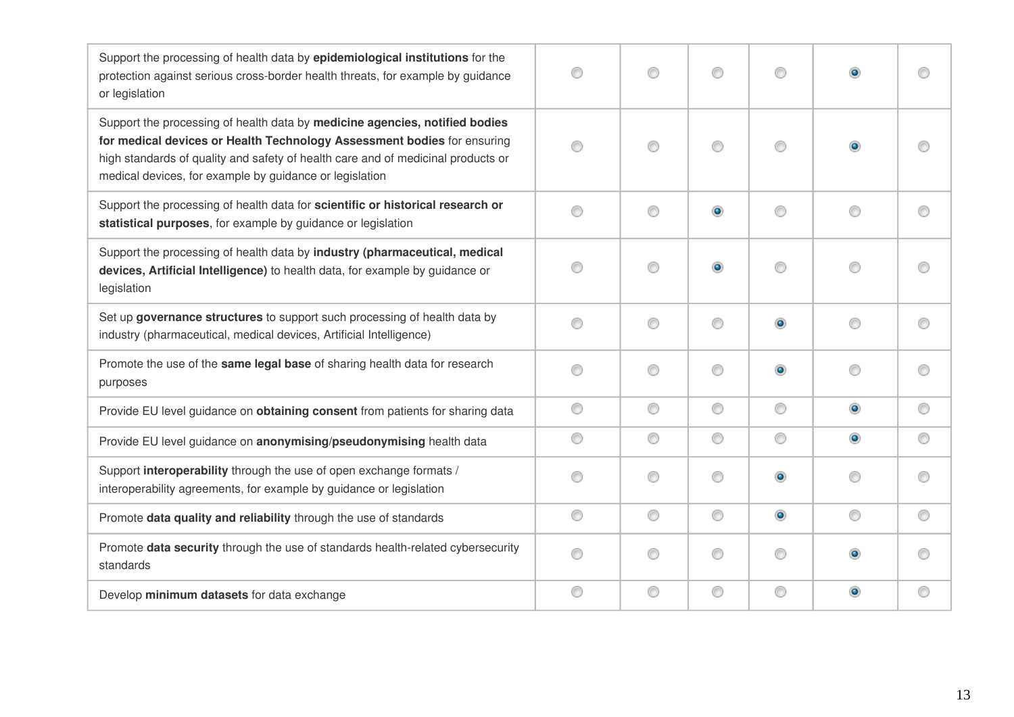| Support the processing of health data by epidemiological institutions for the<br>protection against serious cross-border health threats, for example by guidance<br>or legislation                                                                                                                    | ◎ | ∩ | ⊙         | ⊙              |   |   |
|-------------------------------------------------------------------------------------------------------------------------------------------------------------------------------------------------------------------------------------------------------------------------------------------------------|---|---|-----------|----------------|---|---|
| Support the processing of health data by medicine agencies, notified bodies<br>for medical devices or Health Technology Assessment bodies for ensuring<br>high standards of quality and safety of health care and of medicinal products or<br>medical devices, for example by guidance or legislation | ∩ | ⊙ | ⊙         | ⊙              |   |   |
| Support the processing of health data for scientific or historical research or<br>statistical purposes, for example by guidance or legislation                                                                                                                                                        | ∩ | ⊙ | $\bullet$ | ◉              | € |   |
| Support the processing of health data by industry (pharmaceutical, medical<br>devices, Artificial Intelligence) to health data, for example by guidance or<br>legislation                                                                                                                             | ◎ | ⊙ | $\bullet$ | ⊙              | € |   |
| Set up governance structures to support such processing of health data by<br>industry (pharmaceutical, medical devices, Artificial Intelligence)                                                                                                                                                      | ∩ | ⊙ | ◉         | $\bullet$      | ⊙ | ⋒ |
| Promote the use of the same legal base of sharing health data for research<br>purposes                                                                                                                                                                                                                | ∩ | ∩ | ◉         | $\bullet$      | ∩ |   |
| Provide EU level guidance on obtaining consent from patients for sharing data                                                                                                                                                                                                                         | ⊙ | ⊙ | ◉         | ⊙              | ۰ | ⊙ |
| Provide EU level guidance on anonymising/pseudonymising health data                                                                                                                                                                                                                                   | ⊙ | ⊙ | 0         | 0              | ۰ | ◎ |
| Support interoperability through the use of open exchange formats /<br>interoperability agreements, for example by guidance or legislation                                                                                                                                                            | ∩ | ∩ | ⊙         | $\bullet$      | ∩ |   |
| Promote data quality and reliability through the use of standards                                                                                                                                                                                                                                     | ⊙ | 0 | 0         | $\circledcirc$ | ⊙ | ⊙ |
| Promote data security through the use of standards health-related cybersecurity<br>standards                                                                                                                                                                                                          | ⋒ | ∩ | 0         | 0              |   |   |
| Develop minimum datasets for data exchange                                                                                                                                                                                                                                                            | ⊙ | ⊙ | 0         | 0              |   | O |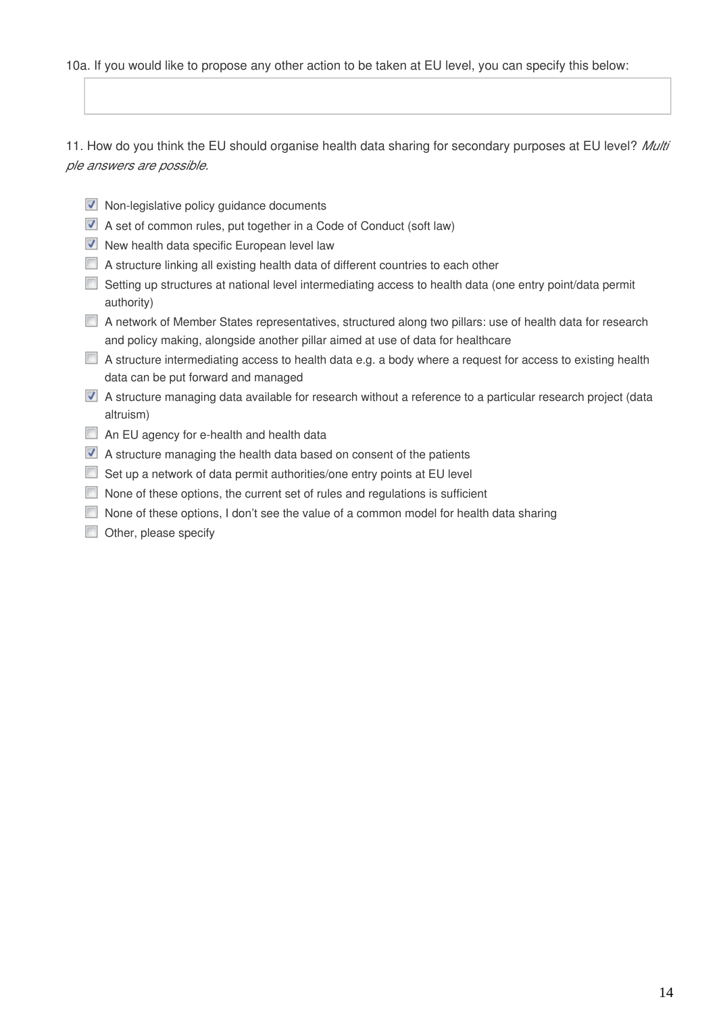#### 10a. If you would like to propose any other action to be taken at EU level, you can specify this below:

11. How do you think the EU should organise health data sharing for secondary purposes at EU level? *Multi ple answers are possible.*

- $\blacksquare$  Non-legislative policy guidance documents
- A set of common rules, put together in a Code of Conduct (soft law)
- $\nabla$  New health data specific European level law
- A structure linking all existing health data of different countries to each other
- Setting up structures at national level intermediating access to health data (one entry point/data permit authority)
- A network of Member States representatives, structured along two pillars: use of health data for research and policy making, alongside another pillar aimed at use of data for healthcare
- A structure intermediating access to health data e.g. a body where a request for access to existing health data can be put forward and managed
- A structure managing data available for research without a reference to a particular research project (data altruism)
- An EU agency for e-health and health data
- A structure managing the health data based on consent of the patients
- Set up a network of data permit authorities/one entry points at EU level
- None of these options, the current set of rules and regulations is sufficient
- None of these options, I don't see the value of a common model for health data sharing
- **Other, please specify**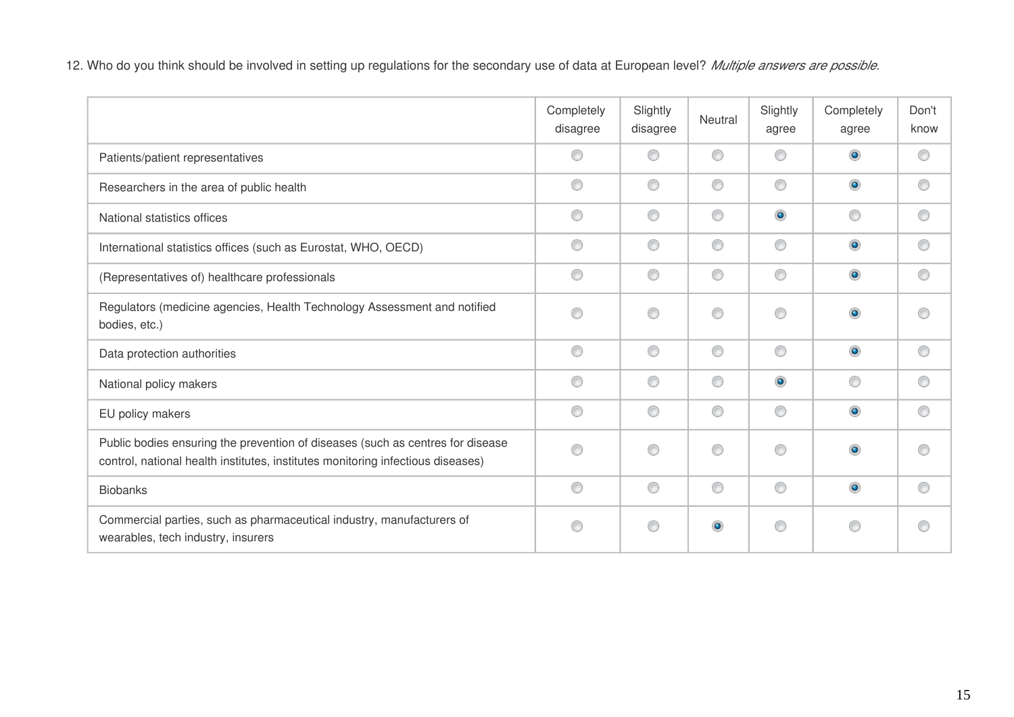12. Who do you think should be involved in setting up regulations for the secondary use of data at European level? *Multiple answers are possible.*

|                                                                                                                                                                   | Completely<br>disagree | Slightly<br>disagree | Neutral   | Slightly<br>agree | Completely<br>agree | Don't<br>know |
|-------------------------------------------------------------------------------------------------------------------------------------------------------------------|------------------------|----------------------|-----------|-------------------|---------------------|---------------|
| Patients/patient representatives                                                                                                                                  | ⊙                      | ⋒                    | 0         | ◉                 | $\bullet$           | ⊙             |
| Researchers in the area of public health                                                                                                                          | ⊙                      | ◎                    | 0         | 0                 | $\circledcirc$      | ⊙             |
| National statistics offices                                                                                                                                       | ⊙                      | ⊙                    | 0         | $\bullet$         | ⊙                   | ∩             |
| International statistics offices (such as Eurostat, WHO, OECD)                                                                                                    | ◉                      | ◉                    | 0         | ◉                 | $\circledcirc$      | ⊙             |
| (Representatives of) healthcare professionals                                                                                                                     | 0                      | ◉                    | 0         | 0                 | $\circledcirc$      | ⊙             |
| Regulators (medicine agencies, Health Technology Assessment and notified<br>bodies, etc.)                                                                         | ⊙                      | ⊙                    | 0         | 0                 | $\bullet$           | ⋒             |
| Data protection authorities                                                                                                                                       | ⊙                      | ◉                    | 0         | ◉                 | $\circledcirc$      | ⊙             |
| National policy makers                                                                                                                                            | ◉                      | ◉                    | ⊙         | $\bullet$         | ⊙                   | ∩             |
| EU policy makers                                                                                                                                                  | 0                      | O                    | ⊙         | 0                 | $\bullet$           | 0             |
| Public bodies ensuring the prevention of diseases (such as centres for disease<br>control, national health institutes, institutes monitoring infectious diseases) | ∩                      | ∩                    | 0         | ◉                 | $\bullet$           | ∩             |
| <b>Biobanks</b>                                                                                                                                                   | 0                      | ◉                    | 0         | 0                 | $\circledcirc$      | 0             |
| Commercial parties, such as pharmaceutical industry, manufacturers of<br>wearables, tech industry, insurers                                                       | ◉                      | ∩                    | $\bullet$ | 0                 | ⊙                   | ∩             |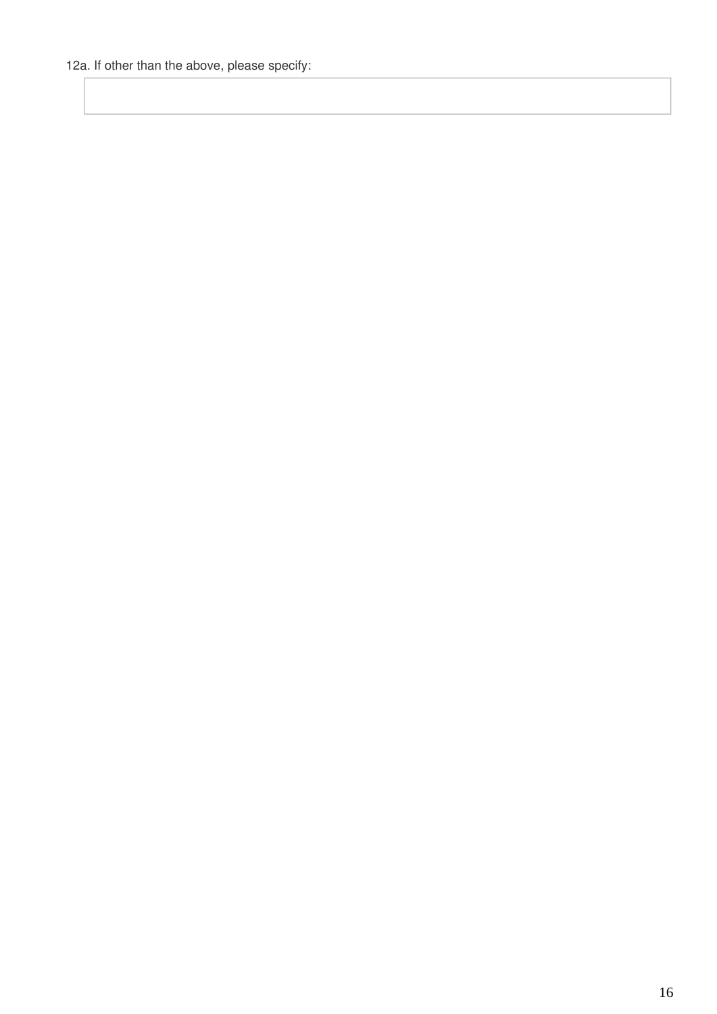12a. If other than the above, please specify: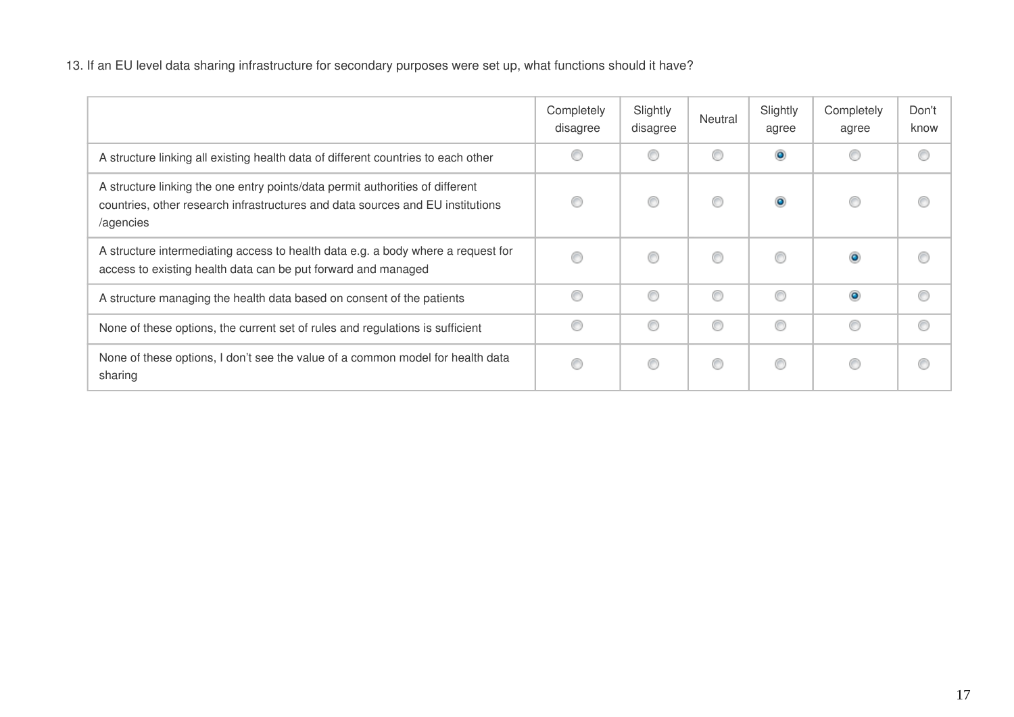13. If an EU level data sharing infrastructure for secondary purposes were set up, what functions should it have?

|                                                                                                                                                                              | Completely<br>disagree | Slightly<br>disagree | Neutral | Slightly<br>agree | Completely<br>agree | Don't<br>know |
|------------------------------------------------------------------------------------------------------------------------------------------------------------------------------|------------------------|----------------------|---------|-------------------|---------------------|---------------|
| A structure linking all existing health data of different countries to each other                                                                                            |                        |                      | ⊙       | $\bullet$         |                     |               |
| A structure linking the one entry points/data permit authorities of different<br>countries, other research infrastructures and data sources and EU institutions<br>/agencies |                        |                      | ⊙       | $\bullet$         | ⊙                   |               |
| A structure intermediating access to health data e.g. a body where a request for<br>access to existing health data can be put forward and managed                            | ⊙                      | ⋒                    | ⊙       | ⊙                 | $\bullet$           | ⋒             |
| A structure managing the health data based on consent of the patients                                                                                                        | 0                      | C                    | ◎       | ◉                 | $\bullet$           | ⋒             |
| None of these options, the current set of rules and regulations is sufficient                                                                                                | 0                      | €                    | ◎       | ◉                 | ◎                   | ⋒             |
| None of these options, I don't see the value of a common model for health data<br>sharing                                                                                    | ⊙                      | €                    | O       | 0                 | ⊙                   | €             |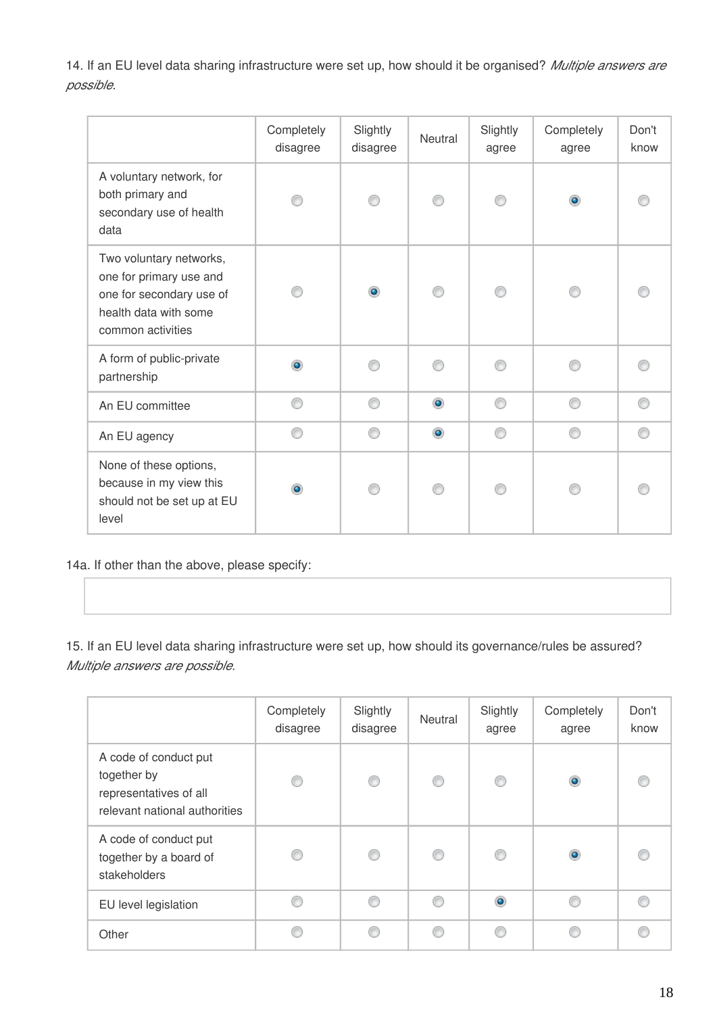14. If an EU level data sharing infrastructure were set up, how should it be organised? *Multiple answers are possible.*

|                                                                                                                              | Completely<br>disagree | Slightly<br>disagree | <b>Neutral</b> | Slightly<br>agree | Completely<br>agree | Don't<br>know |
|------------------------------------------------------------------------------------------------------------------------------|------------------------|----------------------|----------------|-------------------|---------------------|---------------|
| A voluntary network, for<br>both primary and<br>secondary use of health<br>data                                              |                        |                      |                |                   | $\bullet$           |               |
| Two voluntary networks,<br>one for primary use and<br>one for secondary use of<br>health data with some<br>common activities |                        | $\circledcirc$       |                |                   |                     |               |
| A form of public-private<br>partnership                                                                                      | ۵                      | A                    |                |                   |                     |               |
| An EU committee                                                                                                              |                        | ∩                    | $\bullet$      | ⋒                 | ⋒                   |               |
| An EU agency                                                                                                                 | ∩                      | ⊙                    | $\bullet$      | ∩                 | ∩                   |               |
| None of these options,<br>because in my view this<br>should not be set up at EU<br>level                                     |                        |                      |                |                   |                     |               |

14a. If other than the above, please specify:

15. If an EU level data sharing infrastructure were set up, how should its governance/rules be assured? *Multiple answers are possible.*

|                                                                                                 | Completely<br>disagree | Slightly<br>disagree | Neutral | Slightly<br>agree | Completely<br>agree | Don't<br>know |
|-------------------------------------------------------------------------------------------------|------------------------|----------------------|---------|-------------------|---------------------|---------------|
| A code of conduct put<br>together by<br>representatives of all<br>relevant national authorities | €                      | ◎                    | ⋒       | ⋒                 | $\bullet$           |               |
| A code of conduct put<br>together by a board of<br>stakeholders                                 |                        | ◉                    | ◎       | ⋒                 | $\bullet$           |               |
| EU level legislation                                                                            | ⋒                      | €                    | ⋒       | $\bullet$         |                     |               |
| Other                                                                                           |                        | ⋒                    | ⋒       | ⋒                 |                     |               |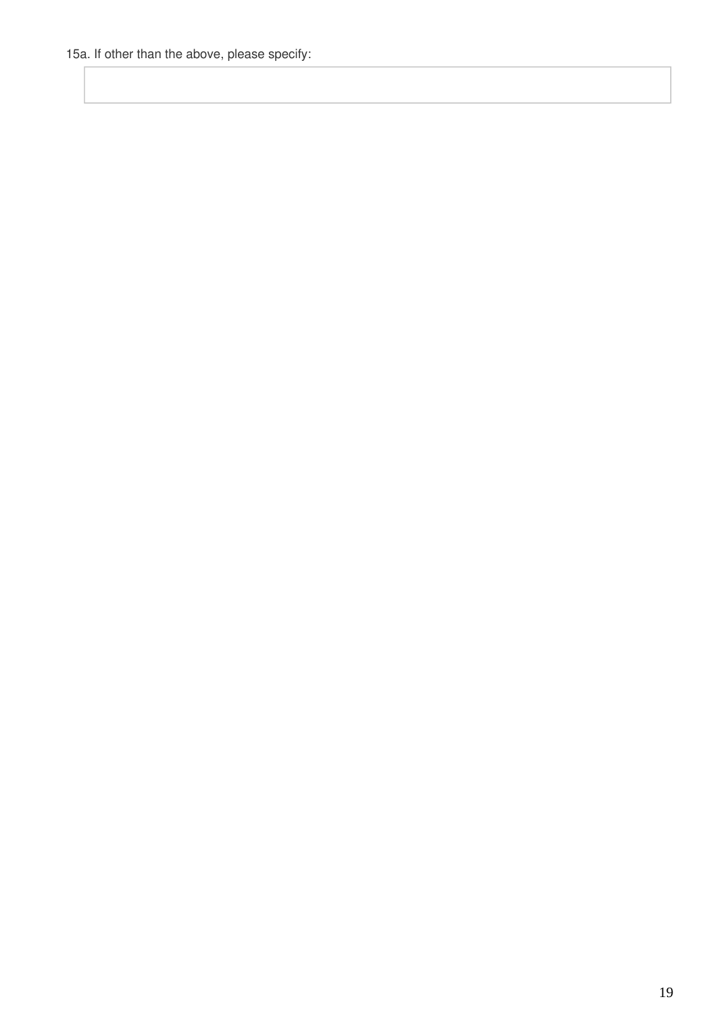15a. If other than the above, please specify: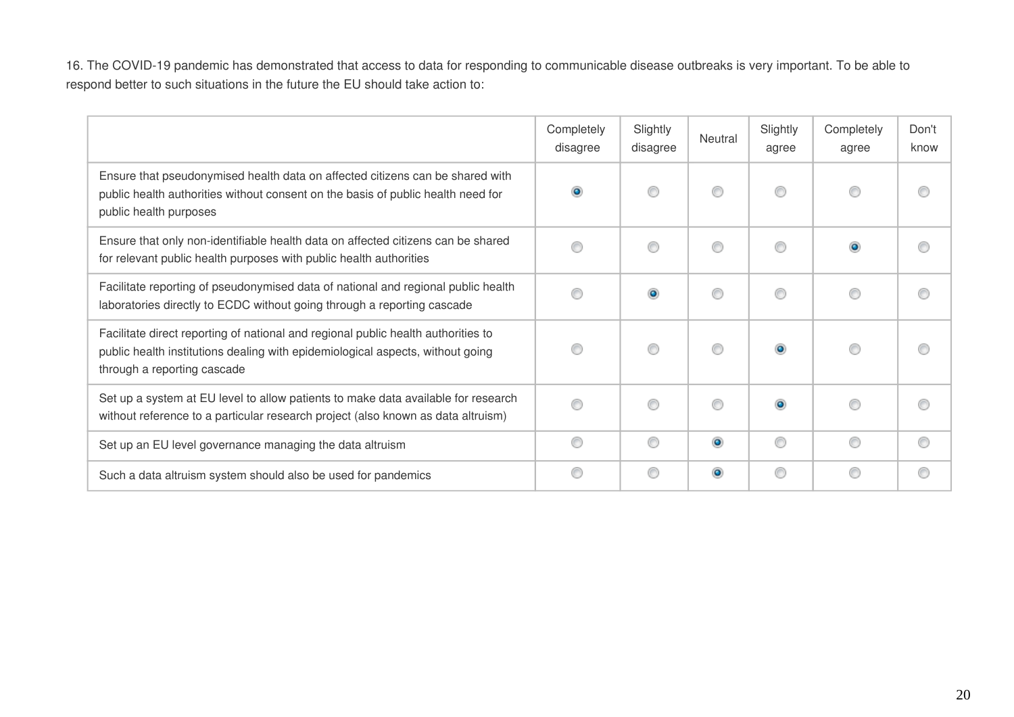16. The COVID-19 pandemic has demonstrated that access to data for responding to communicable disease outbreaks is very important. To be able to respond better to such situations in the future the EU should take action to:

|                                                                                                                                                                                                    | Completely<br>disagree | Slightly<br>disagree | Neutral   | Slightly<br>agree | Completely<br>agree | Don't<br>know |
|----------------------------------------------------------------------------------------------------------------------------------------------------------------------------------------------------|------------------------|----------------------|-----------|-------------------|---------------------|---------------|
| Ensure that pseudonymised health data on affected citizens can be shared with<br>public health authorities without consent on the basis of public health need for<br>public health purposes        | $\bullet$              | ∩                    | ⊙         | ⊙                 | ⊙                   | ⊙             |
| Ensure that only non-identifiable health data on affected citizens can be shared<br>for relevant public health purposes with public health authorities                                             | 0                      | ∩                    | 0         | ⊙                 | $\circledcirc$      | ⊙             |
| Facilitate reporting of pseudonymised data of national and regional public health<br>laboratories directly to ECDC without going through a reporting cascade                                       | ⊙                      | $\bullet$            | ⊙         | ⊙                 | ∩                   |               |
| Facilitate direct reporting of national and regional public health authorities to<br>public health institutions dealing with epidemiological aspects, without going<br>through a reporting cascade | ⊙                      | ∩                    | ⊙         | $\bullet$         | ⊙                   | ∩             |
| Set up a system at EU level to allow patients to make data available for research<br>without reference to a particular research project (also known as data altruism)                              | ◉                      | ∩                    | ⊙         | $\bullet$         | ∩                   | ∩             |
| Set up an EU level governance managing the data altruism                                                                                                                                           | ◉                      | ◉                    | $\bullet$ | ◉                 | ⊙                   | ⊙             |
| Such a data altruism system should also be used for pandemics                                                                                                                                      | 0                      | ◉                    | $\bullet$ | 0                 | ⊙                   | ⊙             |